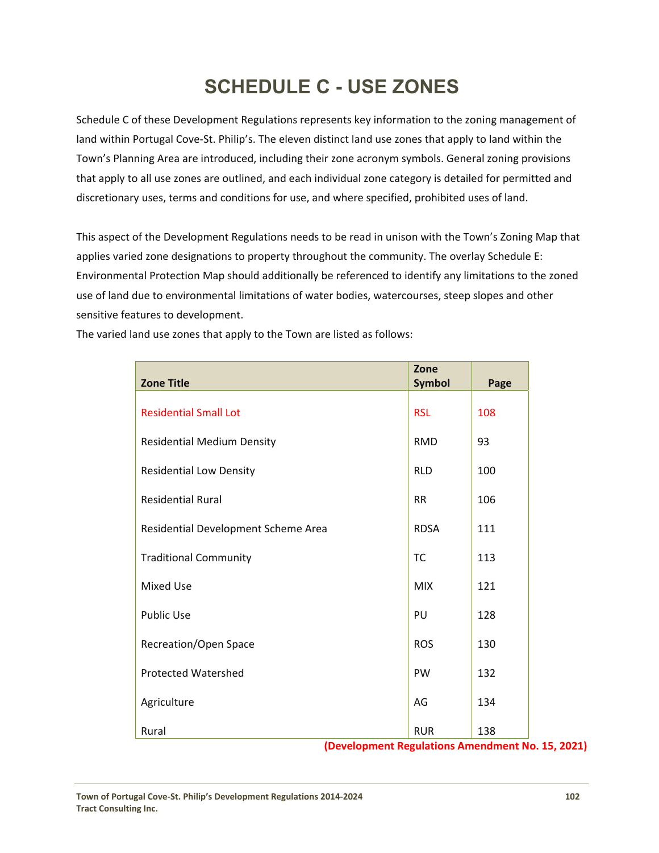# **SCHEDULE C - USE ZONES**

Schedule C of these Development Regulations represents key information to the zoning management of land within Portugal Cove‐St. Philip's. The eleven distinct land use zones that apply to land within the Town's Planning Area are introduced, including their zone acronym symbols. General zoning provisions that apply to all use zones are outlined, and each individual zone category is detailed for permitted and discretionary uses, terms and conditions for use, and where specified, prohibited uses of land.

This aspect of the Development Regulations needs to be read in unison with the Town's Zoning Map that applies varied zone designations to property throughout the community. The overlay Schedule E: Environmental Protection Map should additionally be referenced to identify any limitations to the zoned use of land due to environmental limitations of water bodies, watercourses, steep slopes and other sensitive features to development.

| <b>Zone Title</b>                   | Zone<br><b>Symbol</b> | Page |
|-------------------------------------|-----------------------|------|
|                                     |                       |      |
| <b>Residential Small Lot</b>        | <b>RSL</b>            | 108  |
| <b>Residential Medium Density</b>   | <b>RMD</b>            | 93   |
| <b>Residential Low Density</b>      | <b>RLD</b>            | 100  |
| <b>Residential Rural</b>            | <b>RR</b>             | 106  |
| Residential Development Scheme Area | <b>RDSA</b>           | 111  |
| <b>Traditional Community</b>        | <b>TC</b>             | 113  |
| <b>Mixed Use</b>                    | <b>MIX</b>            | 121  |
| <b>Public Use</b>                   | PU                    | 128  |
| Recreation/Open Space               | <b>ROS</b>            | 130  |
| <b>Protected Watershed</b>          | <b>PW</b>             | 132  |
| Agriculture                         | AG                    | 134  |
| Rural                               | <b>RUR</b>            | 138  |

The varied land use zones that apply to the Town are listed as follows:

**(Development Regulations Amendment No. 15, 2021)**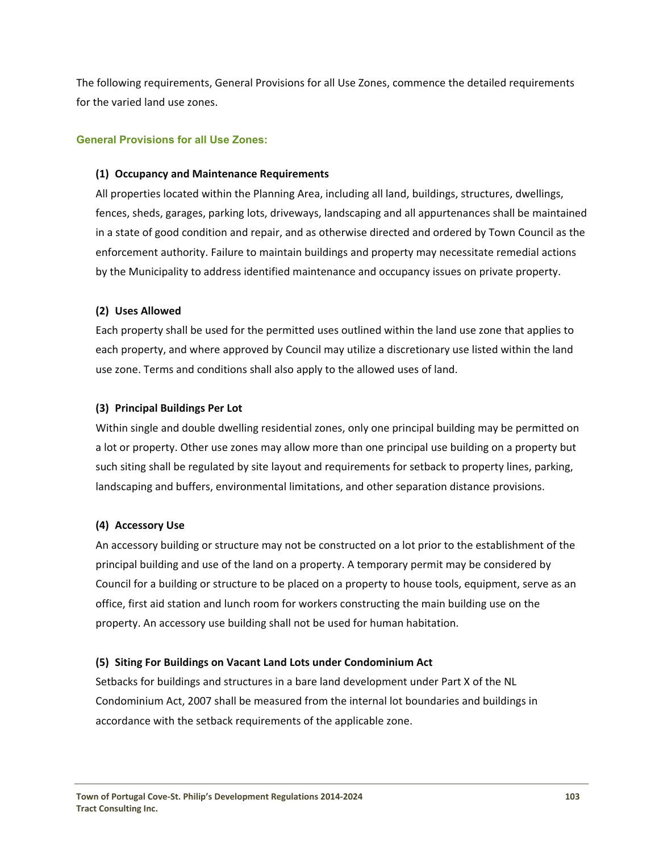The following requirements, General Provisions for all Use Zones, commence the detailed requirements for the varied land use zones.

## **General Provisions for all Use Zones:**

#### **(1) Occupancy and Maintenance Requirements**

All properties located within the Planning Area, including all land, buildings, structures, dwellings, fences, sheds, garages, parking lots, driveways, landscaping and all appurtenances shall be maintained in a state of good condition and repair, and as otherwise directed and ordered by Town Council as the enforcement authority. Failure to maintain buildings and property may necessitate remedial actions by the Municipality to address identified maintenance and occupancy issues on private property.

## **(2) Uses Allowed**

Each property shall be used for the permitted uses outlined within the land use zone that applies to each property, and where approved by Council may utilize a discretionary use listed within the land use zone. Terms and conditions shall also apply to the allowed uses of land.

## **(3) Principal Buildings Per Lot**

Within single and double dwelling residential zones, only one principal building may be permitted on a lot or property. Other use zones may allow more than one principal use building on a property but such siting shall be regulated by site layout and requirements for setback to property lines, parking, landscaping and buffers, environmental limitations, and other separation distance provisions.

# **(4) Accessory Use**

An accessory building or structure may not be constructed on a lot prior to the establishment of the principal building and use of the land on a property. A temporary permit may be considered by Council for a building or structure to be placed on a property to house tools, equipment, serve as an office, first aid station and lunch room for workers constructing the main building use on the property. An accessory use building shall not be used for human habitation.

#### **(5) Siting For Buildings on Vacant Land Lots under Condominium Act**

Setbacks for buildings and structures in a bare land development under Part X of the NL Condominium Act, 2007 shall be measured from the internal lot boundaries and buildings in accordance with the setback requirements of the applicable zone.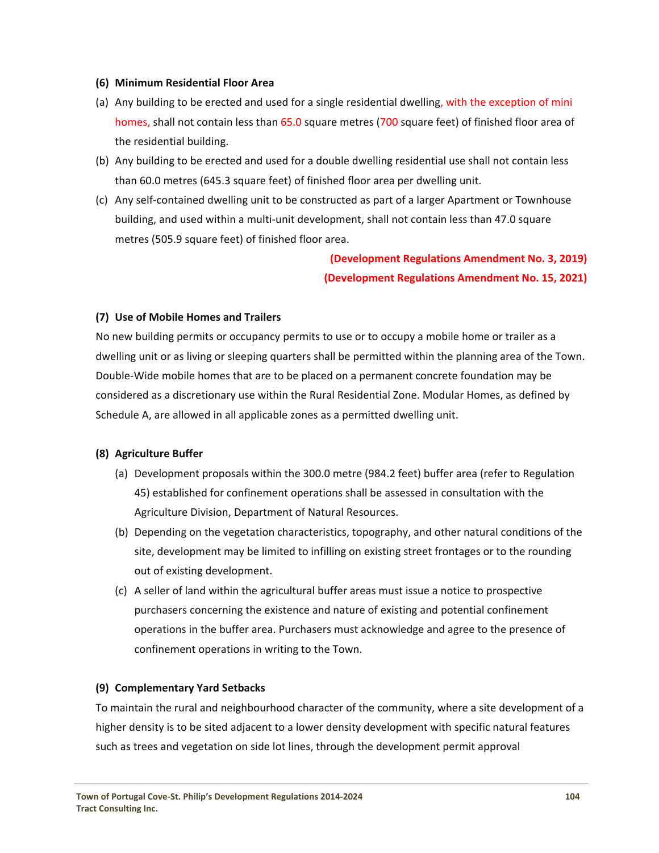#### **(6) Minimum Residential Floor Area**

- (a) Any building to be erected and used for a single residential dwelling, with the exception of mini homes, shall not contain less than 65.0 square metres (700 square feet) of finished floor area of the residential building.
- (b) Any building to be erected and used for a double dwelling residential use shall not contain less than 60.0 metres (645.3 square feet) of finished floor area per dwelling unit.
- (c) Any self‐contained dwelling unit to be constructed as part of a larger Apartment or Townhouse building, and used within a multi‐unit development, shall not contain less than 47.0 square metres (505.9 square feet) of finished floor area.

**(Development Regulations Amendment No. 3, 2019) (Development Regulations Amendment No. 15, 2021)**

## **(7) Use of Mobile Homes and Trailers**

No new building permits or occupancy permits to use or to occupy a mobile home or trailer as a dwelling unit or as living or sleeping quarters shall be permitted within the planning area of the Town. Double‐Wide mobile homes that are to be placed on a permanent concrete foundation may be considered as a discretionary use within the Rural Residential Zone. Modular Homes, as defined by Schedule A, are allowed in all applicable zones as a permitted dwelling unit.

#### **(8) Agriculture Buffer**

- (a) Development proposals within the 300.0 metre (984.2 feet) buffer area (refer to Regulation 45) established for confinement operations shall be assessed in consultation with the Agriculture Division, Department of Natural Resources.
- (b) Depending on the vegetation characteristics, topography, and other natural conditions of the site, development may be limited to infilling on existing street frontages or to the rounding out of existing development.
- (c) A seller of land within the agricultural buffer areas must issue a notice to prospective purchasers concerning the existence and nature of existing and potential confinement operations in the buffer area. Purchasers must acknowledge and agree to the presence of confinement operations in writing to the Town.

#### **(9) Complementary Yard Setbacks**

To maintain the rural and neighbourhood character of the community, where a site development of a higher density is to be sited adjacent to a lower density development with specific natural features such as trees and vegetation on side lot lines, through the development permit approval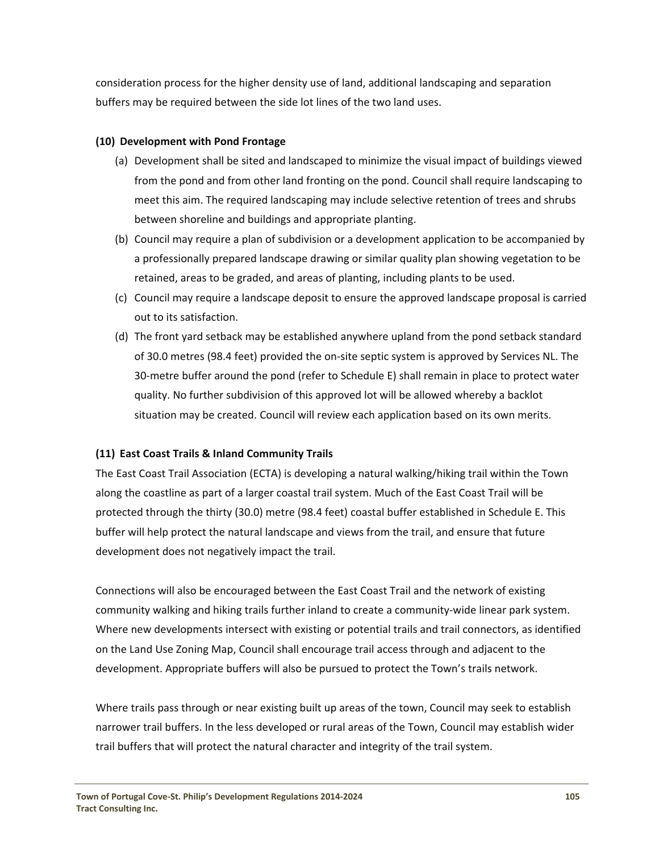consideration process for the higher density use of land, additional landscaping and separation buffers may be required between the side lot lines of the two land uses.

# **(10) Development with Pond Frontage**

- (a) Development shall be sited and landscaped to minimize the visual impact of buildings viewed from the pond and from other land fronting on the pond. Council shall require landscaping to meet this aim. The required landscaping may include selective retention of trees and shrubs between shoreline and buildings and appropriate planting.
- (b) Council may require a plan of subdivision or a development application to be accompanied by a professionally prepared landscape drawing or similar quality plan showing vegetation to be retained, areas to be graded, and areas of planting, including plants to be used.
- (c) Council may require a landscape deposit to ensure the approved landscape proposal is carried out to its satisfaction.
- (d) The front yard setback may be established anywhere upland from the pond setback standard of 30.0 metres (98.4 feet) provided the on‐site septic system is approved by Services NL. The 30‐metre buffer around the pond (refer to Schedule E) shall remain in place to protect water quality. No further subdivision of this approved lot will be allowed whereby a backlot situation may be created. Council will review each application based on its own merits.

# **(11) East Coast Trails & Inland Community Trails**

The East Coast Trail Association (ECTA) is developing a natural walking/hiking trail within the Town along the coastline as part of a larger coastal trail system. Much of the East Coast Trail will be protected through the thirty (30.0) metre (98.4 feet) coastal buffer established in Schedule E. This buffer will help protect the natural landscape and views from the trail, and ensure that future development does not negatively impact the trail.

Connections will also be encouraged between the East Coast Trail and the network of existing community walking and hiking trails further inland to create a community-wide linear park system. Where new developments intersect with existing or potential trails and trail connectors, as identified on the Land Use Zoning Map, Council shall encourage trail access through and adjacent to the development. Appropriate buffers will also be pursued to protect the Town's trails network.

Where trails pass through or near existing built up areas of the town, Council may seek to establish narrower trail buffers. In the less developed or rural areas of the Town, Council may establish wider trail buffers that will protect the natural character and integrity of the trail system.